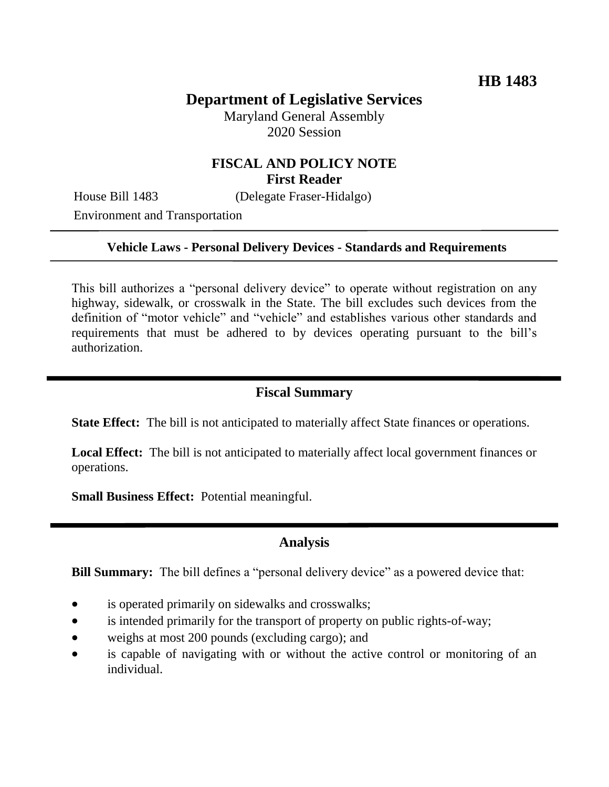# **Department of Legislative Services**

Maryland General Assembly 2020 Session

# **FISCAL AND POLICY NOTE First Reader**

Environment and Transportation

House Bill 1483 (Delegate Fraser-Hidalgo)

#### **Vehicle Laws - Personal Delivery Devices - Standards and Requirements**

This bill authorizes a "personal delivery device" to operate without registration on any highway, sidewalk, or crosswalk in the State. The bill excludes such devices from the definition of "motor vehicle" and "vehicle" and establishes various other standards and requirements that must be adhered to by devices operating pursuant to the bill's authorization.

### **Fiscal Summary**

**State Effect:** The bill is not anticipated to materially affect State finances or operations.

**Local Effect:** The bill is not anticipated to materially affect local government finances or operations.

**Small Business Effect:** Potential meaningful.

# **Analysis**

**Bill Summary:** The bill defines a "personal delivery device" as a powered device that:

- is operated primarily on sidewalks and crosswalks;
- is intended primarily for the transport of property on public rights-of-way;
- weighs at most 200 pounds (excluding cargo); and
- is capable of navigating with or without the active control or monitoring of an individual.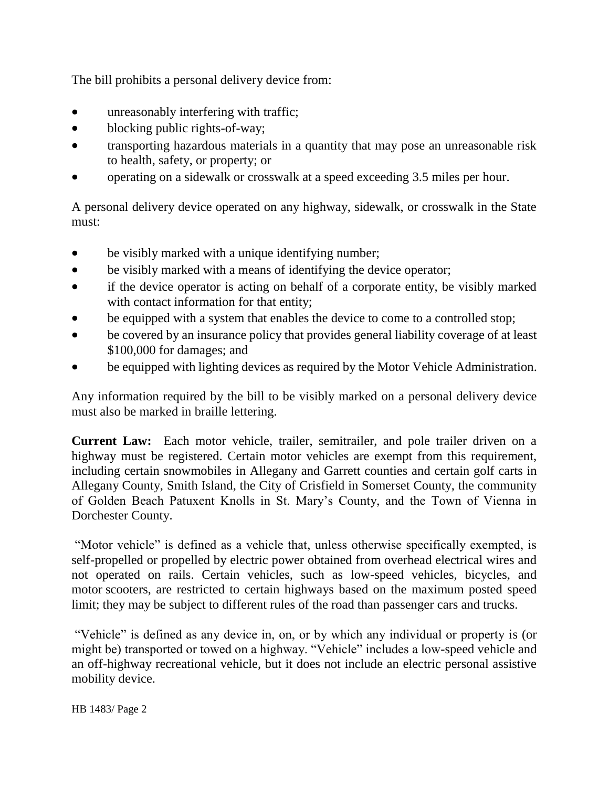The bill prohibits a personal delivery device from:

- unreasonably interfering with traffic;
- blocking public rights-of-way;
- transporting hazardous materials in a quantity that may pose an unreasonable risk to health, safety, or property; or
- operating on a sidewalk or crosswalk at a speed exceeding 3.5 miles per hour.

A personal delivery device operated on any highway, sidewalk, or crosswalk in the State must:

- be visibly marked with a unique identifying number;
- be visibly marked with a means of identifying the device operator;
- if the device operator is acting on behalf of a corporate entity, be visibly marked with contact information for that entity;
- be equipped with a system that enables the device to come to a controlled stop;
- be covered by an insurance policy that provides general liability coverage of at least \$100,000 for damages; and
- be equipped with lighting devices as required by the Motor Vehicle Administration.

Any information required by the bill to be visibly marked on a personal delivery device must also be marked in braille lettering.

**Current Law:** Each motor vehicle, trailer, semitrailer, and pole trailer driven on a highway must be registered. Certain motor vehicles are exempt from this requirement, including certain snowmobiles in Allegany and Garrett counties and certain golf carts in Allegany County, Smith Island, the City of Crisfield in Somerset County, the community of Golden Beach Patuxent Knolls in St. Mary's County, and the Town of Vienna in Dorchester County.

"Motor vehicle" is defined as a vehicle that, unless otherwise specifically exempted, is self-propelled or propelled by electric power obtained from overhead electrical wires and not operated on rails. Certain vehicles, such as low-speed vehicles, bicycles, and motor scooters, are restricted to certain highways based on the maximum posted speed limit; they may be subject to different rules of the road than passenger cars and trucks.

"Vehicle" is defined as any device in, on, or by which any individual or property is (or might be) transported or towed on a highway. "Vehicle" includes a low-speed vehicle and an off-highway recreational vehicle, but it does not include an electric personal assistive mobility device.